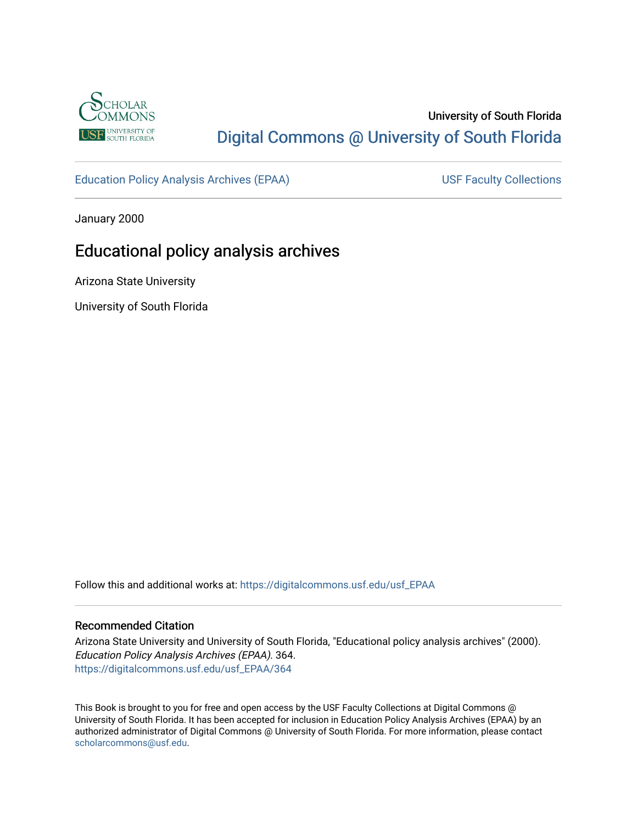

# University of South Florida [Digital Commons @ University of South Florida](https://digitalcommons.usf.edu/)

[Education Policy Analysis Archives \(EPAA\)](https://digitalcommons.usf.edu/usf_EPAA) USF Faculty Collections

January 2000

# Educational policy analysis archives

Arizona State University

University of South Florida

Follow this and additional works at: [https://digitalcommons.usf.edu/usf\\_EPAA](https://digitalcommons.usf.edu/usf_EPAA?utm_source=digitalcommons.usf.edu%2Fusf_EPAA%2F364&utm_medium=PDF&utm_campaign=PDFCoverPages)

## Recommended Citation

Arizona State University and University of South Florida, "Educational policy analysis archives" (2000). Education Policy Analysis Archives (EPAA). 364. [https://digitalcommons.usf.edu/usf\\_EPAA/364](https://digitalcommons.usf.edu/usf_EPAA/364?utm_source=digitalcommons.usf.edu%2Fusf_EPAA%2F364&utm_medium=PDF&utm_campaign=PDFCoverPages)

This Book is brought to you for free and open access by the USF Faculty Collections at Digital Commons @ University of South Florida. It has been accepted for inclusion in Education Policy Analysis Archives (EPAA) by an authorized administrator of Digital Commons @ University of South Florida. For more information, please contact [scholarcommons@usf.edu.](mailto:scholarcommons@usf.edu)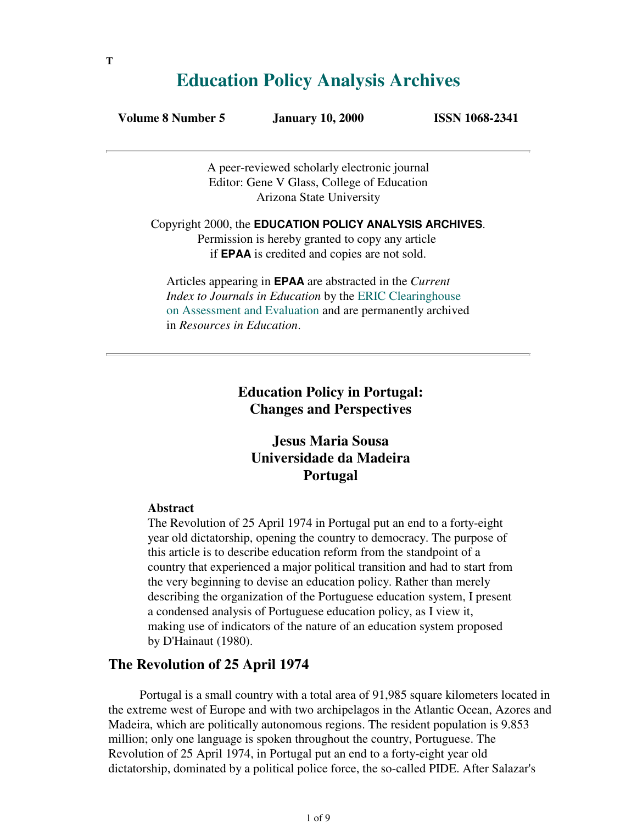# **Education Policy Analysis Archives**

| January 10, 20<br>Volume 8 Number 5 |  |
|-------------------------------------|--|
|-------------------------------------|--|

**Volume 8 1068-2341** 

A peer-reviewed scholarly electronic journal Editor: Gene V Glass, College of Education Arizona State University

Copyright 2000, the **EDUCATION POLICY ANALYSIS ARCHIVES**. Permission is hereby granted to copy any article if **EPAA** is credited and copies are not sold.

Articles appearing in **EPAA** are abstracted in the *Current Index to Journals in Education* by the ERIC Clearinghouse on Assessment and Evaluation and are permanently archived in *Resources in Education*.

> **Education Policy in Portugal: Changes and Perspectives**

# **Jesus Maria Sousa Universidade da Madeira Portugal**

## **Abstract**

The Revolution of 25 April 1974 in Portugal put an end to a forty-eight year old dictatorship, opening the country to democracy. The purpose of this article is to describe education reform from the standpoint of a country that experienced a major political transition and had to start from the very beginning to devise an education policy. Rather than merely describing the organization of the Portuguese education system, I present a condensed analysis of Portuguese education policy, as I view it, making use of indicators of the nature of an education system proposed by D'Hainaut (1980).

# **The Revolution of 25 April 1974**

 Portugal is a small country with a total area of 91,985 square kilometers located in the extreme west of Europe and with two archipelagos in the Atlantic Ocean, Azores and Madeira, which are politically autonomous regions. The resident population is 9.853 million; only one language is spoken throughout the country, Portuguese. The Revolution of 25 April 1974, in Portugal put an end to a forty-eight year old dictatorship, dominated by a political police force, the so-called PIDE. After Salazar's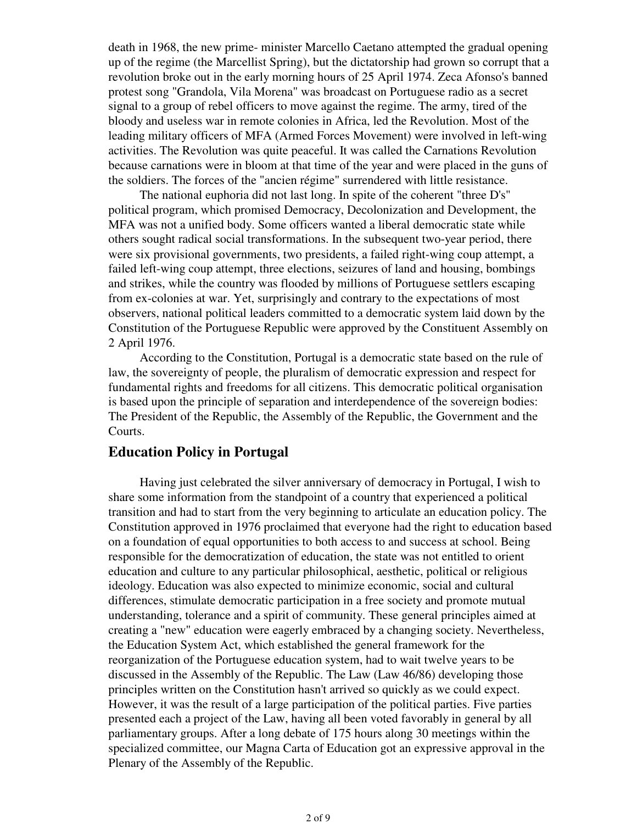death in 1968, the new prime- minister Marcello Caetano attempted the gradual opening up of the regime (the Marcellist Spring), but the dictatorship had grown so corrupt that a revolution broke out in the early morning hours of 25 April 1974. Zeca Afonso's banned protest song "Grandola, Vila Morena" was broadcast on Portuguese radio as a secret signal to a group of rebel officers to move against the regime. The army, tired of the bloody and useless war in remote colonies in Africa, led the Revolution. Most of the leading military officers of MFA (Armed Forces Movement) were involved in left-wing activities. The Revolution was quite peaceful. It was called the Carnations Revolution because carnations were in bloom at that time of the year and were placed in the guns of the soldiers. The forces of the "ancien régime" surrendered with little resistance.

 The national euphoria did not last long. In spite of the coherent "three D's" political program, which promised Democracy, Decolonization and Development, the MFA was not a unified body. Some officers wanted a liberal democratic state while others sought radical social transformations. In the subsequent two-year period, there were six provisional governments, two presidents, a failed right-wing coup attempt, a failed left-wing coup attempt, three elections, seizures of land and housing, bombings and strikes, while the country was flooded by millions of Portuguese settlers escaping from ex-colonies at war. Yet, surprisingly and contrary to the expectations of most observers, national political leaders committed to a democratic system laid down by the Constitution of the Portuguese Republic were approved by the Constituent Assembly on 2 April 1976.

 According to the Constitution, Portugal is a democratic state based on the rule of law, the sovereignty of people, the pluralism of democratic expression and respect for fundamental rights and freedoms for all citizens. This democratic political organisation is based upon the principle of separation and interdependence of the sovereign bodies: The President of the Republic, the Assembly of the Republic, the Government and the Courts.

# **Education Policy in Portugal**

 Having just celebrated the silver anniversary of democracy in Portugal, I wish to share some information from the standpoint of a country that experienced a political transition and had to start from the very beginning to articulate an education policy. The Constitution approved in 1976 proclaimed that everyone had the right to education based on a foundation of equal opportunities to both access to and success at school. Being responsible for the democratization of education, the state was not entitled to orient education and culture to any particular philosophical, aesthetic, political or religious ideology. Education was also expected to minimize economic, social and cultural differences, stimulate democratic participation in a free society and promote mutual understanding, tolerance and a spirit of community. These general principles aimed at creating a "new" education were eagerly embraced by a changing society. Nevertheless, the Education System Act, which established the general framework for the reorganization of the Portuguese education system, had to wait twelve years to be discussed in the Assembly of the Republic. The Law (Law 46/86) developing those principles written on the Constitution hasn't arrived so quickly as we could expect. However, it was the result of a large participation of the political parties. Five parties presented each a project of the Law, having all been voted favorably in general by all parliamentary groups. After a long debate of 175 hours along 30 meetings within the specialized committee, our Magna Carta of Education got an expressive approval in the Plenary of the Assembly of the Republic.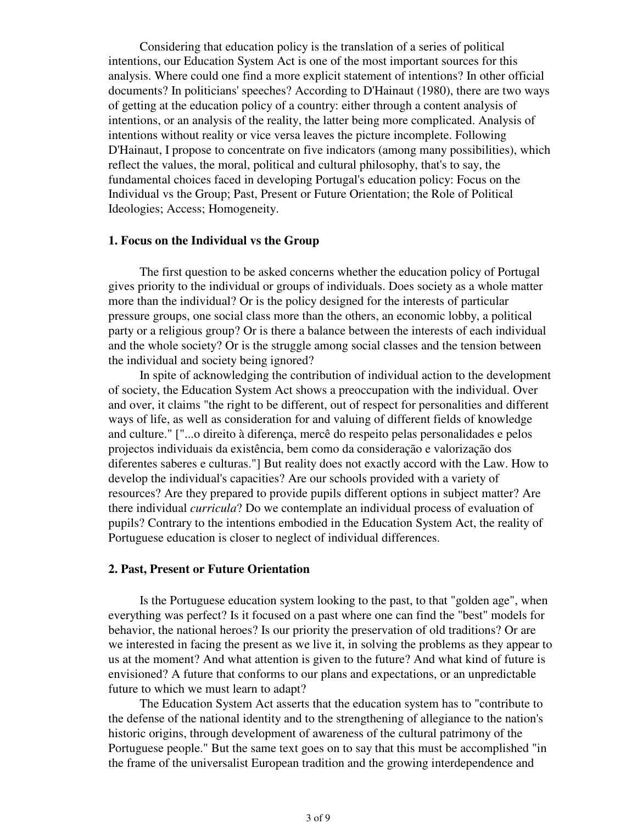Considering that education policy is the translation of a series of political intentions, our Education System Act is one of the most important sources for this analysis. Where could one find a more explicit statement of intentions? In other official documents? In politicians' speeches? According to D'Hainaut (1980), there are two ways of getting at the education policy of a country: either through a content analysis of intentions, or an analysis of the reality, the latter being more complicated. Analysis of intentions without reality or vice versa leaves the picture incomplete. Following D'Hainaut, I propose to concentrate on five indicators (among many possibilities), which reflect the values, the moral, political and cultural philosophy, that's to say, the fundamental choices faced in developing Portugal's education policy: Focus on the Individual vs the Group; Past, Present or Future Orientation; the Role of Political Ideologies; Access; Homogeneity.

## **1. Focus on the Individual vs the Group**

 The first question to be asked concerns whether the education policy of Portugal gives priority to the individual or groups of individuals. Does society as a whole matter more than the individual? Or is the policy designed for the interests of particular pressure groups, one social class more than the others, an economic lobby, a political party or a religious group? Or is there a balance between the interests of each individual and the whole society? Or is the struggle among social classes and the tension between the individual and society being ignored?

 In spite of acknowledging the contribution of individual action to the development of society, the Education System Act shows a preoccupation with the individual. Over and over, it claims "the right to be different, out of respect for personalities and different ways of life, as well as consideration for and valuing of different fields of knowledge and culture." ["...o direito à diferença, mercê do respeito pelas personalidades e pelos projectos individuais da existência, bem como da consideração e valorização dos diferentes saberes e culturas."] But reality does not exactly accord with the Law. How to develop the individual's capacities? Are our schools provided with a variety of resources? Are they prepared to provide pupils different options in subject matter? Are there individual *curricula*? Do we contemplate an individual process of evaluation of pupils? Contrary to the intentions embodied in the Education System Act, the reality of Portuguese education is closer to neglect of individual differences.

## **2. Past, Present or Future Orientation**

 Is the Portuguese education system looking to the past, to that "golden age", when everything was perfect? Is it focused on a past where one can find the "best" models for behavior, the national heroes? Is our priority the preservation of old traditions? Or are we interested in facing the present as we live it, in solving the problems as they appear to us at the moment? And what attention is given to the future? And what kind of future is envisioned? A future that conforms to our plans and expectations, or an unpredictable future to which we must learn to adapt?

 The Education System Act asserts that the education system has to "contribute to the defense of the national identity and to the strengthening of allegiance to the nation's historic origins, through development of awareness of the cultural patrimony of the Portuguese people." But the same text goes on to say that this must be accomplished "in the frame of the universalist European tradition and the growing interdependence and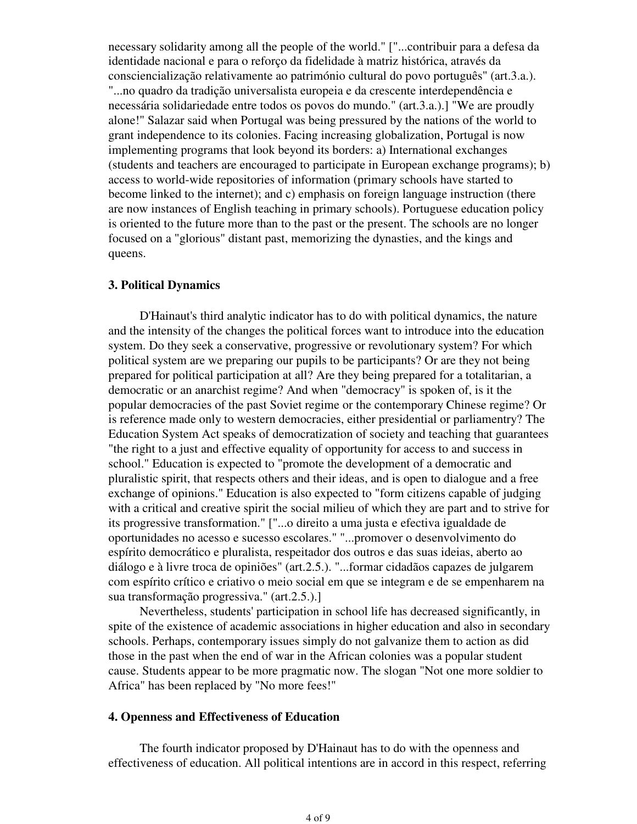necessary solidarity among all the people of the world." ["...contribuir para a defesa da identidade nacional e para o reforço da fidelidade à matriz histórica, através da consciencialização relativamente ao património cultural do povo português" (art.3.a.). "...no quadro da tradição universalista europeia e da crescente interdependência e necessária solidariedade entre todos os povos do mundo." (art.3.a.).] "We are proudly alone!" Salazar said when Portugal was being pressured by the nations of the world to grant independence to its colonies. Facing increasing globalization, Portugal is now implementing programs that look beyond its borders: a) International exchanges (students and teachers are encouraged to participate in European exchange programs); b) access to world-wide repositories of information (primary schools have started to become linked to the internet); and c) emphasis on foreign language instruction (there are now instances of English teaching in primary schools). Portuguese education policy is oriented to the future more than to the past or the present. The schools are no longer focused on a "glorious" distant past, memorizing the dynasties, and the kings and queens.

### **3. Political Dynamics**

 D'Hainaut's third analytic indicator has to do with political dynamics, the nature and the intensity of the changes the political forces want to introduce into the education system. Do they seek a conservative, progressive or revolutionary system? For which political system are we preparing our pupils to be participants? Or are they not being prepared for political participation at all? Are they being prepared for a totalitarian, a democratic or an anarchist regime? And when "democracy" is spoken of, is it the popular democracies of the past Soviet regime or the contemporary Chinese regime? Or is reference made only to western democracies, either presidential or parliamentry? The Education System Act speaks of democratization of society and teaching that guarantees "the right to a just and effective equality of opportunity for access to and success in school." Education is expected to "promote the development of a democratic and pluralistic spirit, that respects others and their ideas, and is open to dialogue and a free exchange of opinions." Education is also expected to "form citizens capable of judging with a critical and creative spirit the social milieu of which they are part and to strive for its progressive transformation." ["...o direito a uma justa e efectiva igualdade de oportunidades no acesso e sucesso escolares." "...promover o desenvolvimento do espírito democrático e pluralista, respeitador dos outros e das suas ideias, aberto ao diálogo e à livre troca de opiniões" (art.2.5.). "...formar cidadãos capazes de julgarem com espírito crítico e criativo o meio social em que se integram e de se empenharem na sua transformação progressiva." (art.2.5.).]

 Nevertheless, students' participation in school life has decreased significantly, in spite of the existence of academic associations in higher education and also in secondary schools. Perhaps, contemporary issues simply do not galvanize them to action as did those in the past when the end of war in the African colonies was a popular student cause. Students appear to be more pragmatic now. The slogan "Not one more soldier to Africa" has been replaced by "No more fees!"

### **4. Openness and Effectiveness of Education**

 The fourth indicator proposed by D'Hainaut has to do with the openness and effectiveness of education. All political intentions are in accord in this respect, referring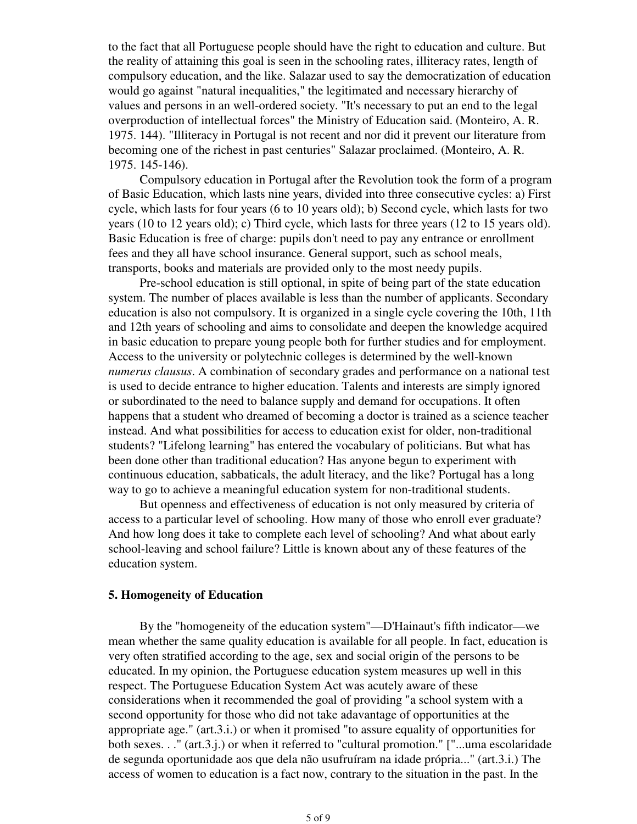to the fact that all Portuguese people should have the right to education and culture. But the reality of attaining this goal is seen in the schooling rates, illiteracy rates, length of compulsory education, and the like. Salazar used to say the democratization of education would go against "natural inequalities," the legitimated and necessary hierarchy of values and persons in an well-ordered society. "It's necessary to put an end to the legal overproduction of intellectual forces" the Ministry of Education said. (Monteiro, A. R. 1975. 144). "Illiteracy in Portugal is not recent and nor did it prevent our literature from becoming one of the richest in past centuries" Salazar proclaimed. (Monteiro, A. R. 1975. 145-146).

 Compulsory education in Portugal after the Revolution took the form of a program of Basic Education, which lasts nine years, divided into three consecutive cycles: a) First cycle, which lasts for four years (6 to 10 years old); b) Second cycle, which lasts for two years (10 to 12 years old); c) Third cycle, which lasts for three years (12 to 15 years old). Basic Education is free of charge: pupils don't need to pay any entrance or enrollment fees and they all have school insurance. General support, such as school meals, transports, books and materials are provided only to the most needy pupils.

 Pre-school education is still optional, in spite of being part of the state education system. The number of places available is less than the number of applicants. Secondary education is also not compulsory. It is organized in a single cycle covering the 10th, 11th and 12th years of schooling and aims to consolidate and deepen the knowledge acquired in basic education to prepare young people both for further studies and for employment. Access to the university or polytechnic colleges is determined by the well-known *numerus clausus*. A combination of secondary grades and performance on a national test is used to decide entrance to higher education. Talents and interests are simply ignored or subordinated to the need to balance supply and demand for occupations. It often happens that a student who dreamed of becoming a doctor is trained as a science teacher instead. And what possibilities for access to education exist for older, non-traditional students? "Lifelong learning" has entered the vocabulary of politicians. But what has been done other than traditional education? Has anyone begun to experiment with continuous education, sabbaticals, the adult literacy, and the like? Portugal has a long way to go to achieve a meaningful education system for non-traditional students.

 But openness and effectiveness of education is not only measured by criteria of access to a particular level of schooling. How many of those who enroll ever graduate? And how long does it take to complete each level of schooling? And what about early school-leaving and school failure? Little is known about any of these features of the education system.

## **5. Homogeneity of Education**

 By the "homogeneity of the education system"—D'Hainaut's fifth indicator—we mean whether the same quality education is available for all people. In fact, education is very often stratified according to the age, sex and social origin of the persons to be educated. In my opinion, the Portuguese education system measures up well in this respect. The Portuguese Education System Act was acutely aware of these considerations when it recommended the goal of providing "a school system with a second opportunity for those who did not take adavantage of opportunities at the appropriate age." (art.3.i.) or when it promised "to assure equality of opportunities for both sexes. . ." (art.3.j.) or when it referred to "cultural promotion." ["...uma escolaridade de segunda oportunidade aos que dela não usufruíram na idade própria..." (art.3.i.) The access of women to education is a fact now, contrary to the situation in the past. In the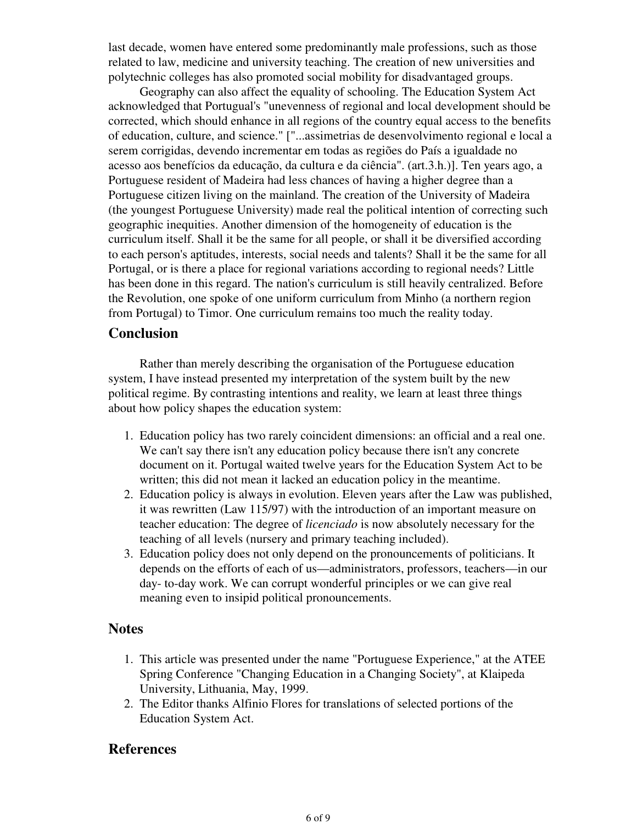last decade, women have entered some predominantly male professions, such as those related to law, medicine and university teaching. The creation of new universities and polytechnic colleges has also promoted social mobility for disadvantaged groups.

 Geography can also affect the equality of schooling. The Education System Act acknowledged that Portugual's "unevenness of regional and local development should be corrected, which should enhance in all regions of the country equal access to the benefits of education, culture, and science." ["...assimetrias de desenvolvimento regional e local a serem corrigidas, devendo incrementar em todas as regiões do País a igualdade no acesso aos benefícios da educação, da cultura e da ciência". (art.3.h.)]. Ten years ago, a Portuguese resident of Madeira had less chances of having a higher degree than a Portuguese citizen living on the mainland. The creation of the University of Madeira (the youngest Portuguese University) made real the political intention of correcting such geographic inequities. Another dimension of the homogeneity of education is the curriculum itself. Shall it be the same for all people, or shall it be diversified according to each person's aptitudes, interests, social needs and talents? Shall it be the same for all Portugal, or is there a place for regional variations according to regional needs? Little has been done in this regard. The nation's curriculum is still heavily centralized. Before the Revolution, one spoke of one uniform curriculum from Minho (a northern region from Portugal) to Timor. One curriculum remains too much the reality today.

# **Conclusion**

 Rather than merely describing the organisation of the Portuguese education system, I have instead presented my interpretation of the system built by the new political regime. By contrasting intentions and reality, we learn at least three things about how policy shapes the education system:

- Education policy has two rarely coincident dimensions: an official and a real one. 1. We can't say there isn't any education policy because there isn't any concrete document on it. Portugal waited twelve years for the Education System Act to be written; this did not mean it lacked an education policy in the meantime.
- Education policy is always in evolution. Eleven years after the Law was published, 2. it was rewritten (Law 115/97) with the introduction of an important measure on teacher education: The degree of *licenciado* is now absolutely necessary for the teaching of all levels (nursery and primary teaching included).
- Education policy does not only depend on the pronouncements of politicians. It 3. depends on the efforts of each of us—administrators, professors, teachers—in our day- to-day work. We can corrupt wonderful principles or we can give real meaning even to insipid political pronouncements.

# **Notes**

- 1. This article was presented under the name "Portuguese Experience," at the ATEE Spring Conference "Changing Education in a Changing Society", at Klaipeda University, Lithuania, May, 1999.
- 2. The Editor thanks Alfinio Flores for translations of selected portions of the Education System Act.

# **References**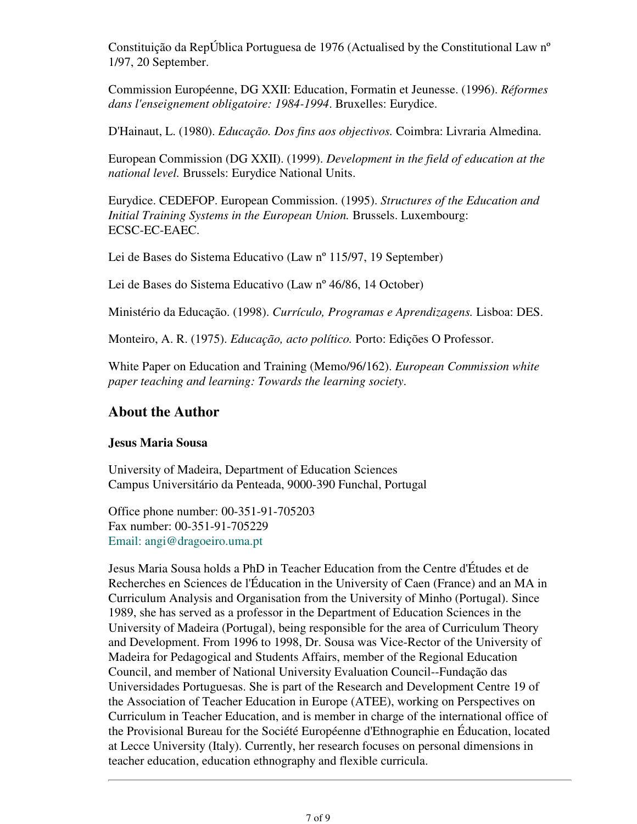Constituição da RepÚblica Portuguesa de 1976 (Actualised by the Constitutional Law nº 1/97, 20 September.

Commission Européenne, DG XXII: Education, Formatin et Jeunesse. (1996). *Réformes dans l'enseignement obligatoire: 1984-1994*. Bruxelles: Eurydice.

D'Hainaut, L. (1980). *Educação. Dos fins aos objectivos.* Coimbra: Livraria Almedina.

European Commission (DG XXII). (1999). *Development in the field of education at the national level.* Brussels: Eurydice National Units.

Eurydice. CEDEFOP. European Commission. (1995). *Structures of the Education and Initial Training Systems in the European Union.* Brussels. Luxembourg: ECSC-EC-EAEC.

Lei de Bases do Sistema Educativo (Law nº 115/97, 19 September)

Lei de Bases do Sistema Educativo (Law nº 46/86, 14 October)

Ministério da Educação. (1998). *Currículo, Programas e Aprendizagens.* Lisboa: DES.

Monteiro, A. R. (1975). *Educação, acto político.* Porto: Edições O Professor.

White Paper on Education and Training (Memo/96/162). *European Commission white paper teaching and learning: Towards the learning society*.

# **About the Author**

# **Jesus Maria Sousa**

University of Madeira, Department of Education Sciences Campus Universitário da Penteada, 9000-390 Funchal, Portugal

Office phone number: 00-351-91-705203 Fax number: 00-351-91-705229 Email: angi@dragoeiro.uma.pt

Jesus Maria Sousa holds a PhD in Teacher Education from the Centre d'Études et de Recherches en Sciences de l'Éducation in the University of Caen (France) and an MA in Curriculum Analysis and Organisation from the University of Minho (Portugal). Since 1989, she has served as a professor in the Department of Education Sciences in the University of Madeira (Portugal), being responsible for the area of Curriculum Theory and Development. From 1996 to 1998, Dr. Sousa was Vice-Rector of the University of Madeira for Pedagogical and Students Affairs, member of the Regional Education Council, and member of National University Evaluation Council--Fundação das Universidades Portuguesas. She is part of the Research and Development Centre 19 of the Association of Teacher Education in Europe (ATEE), working on Perspectives on Curriculum in Teacher Education, and is member in charge of the international office of the Provisional Bureau for the Société Européenne d'Ethnographie en Éducation, located at Lecce University (Italy). Currently, her research focuses on personal dimensions in teacher education, education ethnography and flexible curricula.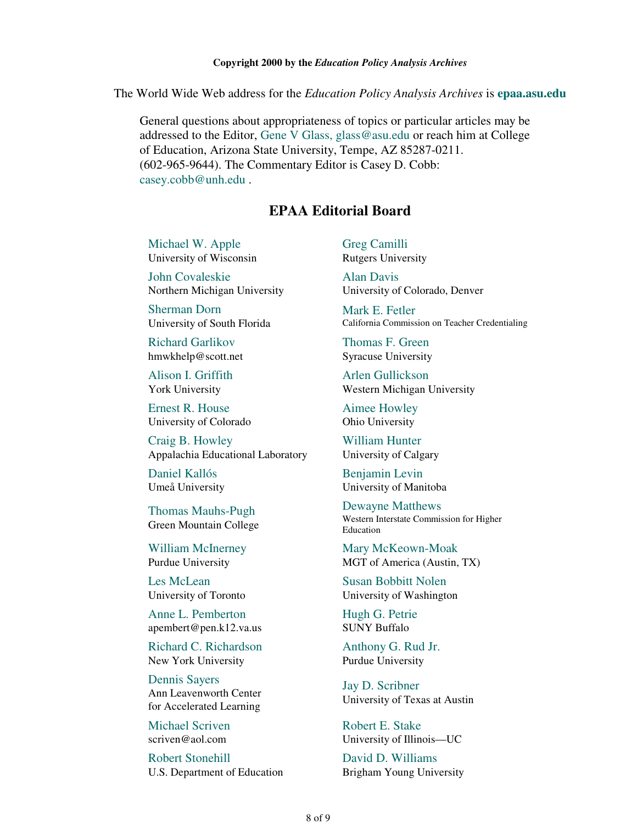The World Wide Web address for the *Education Policy Analysis Archives* is **epaa.asu.edu**

General questions about appropriateness of topics or particular articles may be addressed to the Editor, Gene V Glass, glass@asu.edu or reach him at College of Education, Arizona State University, Tempe, AZ 85287-0211. (602-965-9644). The Commentary Editor is Casey D. Cobb: casey.cobb@unh.edu .

# **EPAA Editorial Board**

Michael W. Apple University of Wisconsin

John Covaleskie Northern Michigan University

Sherman Dorn University of South Florida

Richard Garlikov hmwkhelp@scott.net

Alison I. Griffith York University

Ernest R. House University of Colorado

Craig B. Howley Appalachia Educational Laboratory

Daniel Kallós Umeå University

Thomas Mauhs-Pugh Green Mountain College

William McInerney Purdue University

Les McLean University of Toronto

Anne L. Pemberton apembert@pen.k12.va.us

Richard C. Richardson New York University

Dennis Sayers Ann Leavenworth Center for Accelerated Learning

Michael Scriven scriven@aol.com

Robert Stonehill U.S. Department of Education Greg Camilli Rutgers University

Alan Davis University of Colorado, Denver

Mark E. Fetler California Commission on Teacher Credentialing

Thomas F. Green Syracuse University

Arlen Gullickson Western Michigan University

Aimee Howley Ohio University

William Hunter University of Calgary

Benjamin Levin University of Manitoba

Dewayne Matthews Western Interstate Commission for Higher Education

Mary McKeown-Moak MGT of America (Austin, TX)

Susan Bobbitt Nolen University of Washington

Hugh G. Petrie SUNY Buffalo

Anthony G. Rud Jr. Purdue University

Jay D. Scribner University of Texas at Austin

Robert E. Stake University of Illinois—UC

David D. Williams Brigham Young University